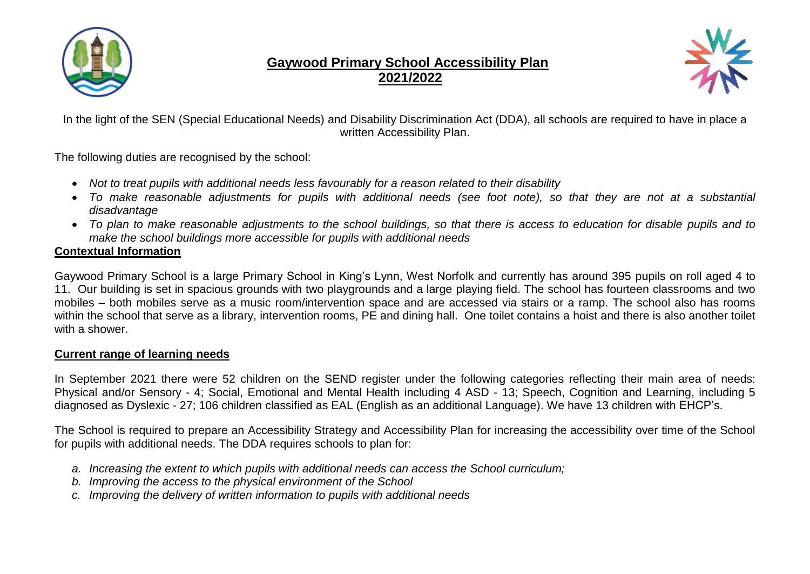

# **Gaywood Primary School Accessibility Plan 2021/2022**



In the light of the SEN (Special Educational Needs) and Disability Discrimination Act (DDA), all schools are required to have in place a written Accessibility Plan.

The following duties are recognised by the school:

- *Not to treat pupils with additional needs less favourably for a reason related to their disability*
- *To make reasonable adjustments for pupils with additional needs (see foot note), so that they are not at a substantial disadvantage*
- To plan to make reasonable adjustments to the school buildings, so that there is access to education for disable pupils and to *make the school buildings more accessible for pupils with additional needs*

## **Contextual Information**

Gaywood Primary School is a large Primary School in King's Lynn, West Norfolk and currently has around 395 pupils on roll aged 4 to 11. Our building is set in spacious grounds with two playgrounds and a large playing field. The school has fourteen classrooms and two mobiles – both mobiles serve as a music room/intervention space and are accessed via stairs or a ramp. The school also has rooms within the school that serve as a library, intervention rooms, PE and dining hall. One toilet contains a hoist and there is also another toilet with a shower.

## **Current range of learning needs**

In September 2021 there were 52 children on the SEND register under the following categories reflecting their main area of needs: Physical and/or Sensory - 4; Social, Emotional and Mental Health including 4 ASD - 13; Speech, Cognition and Learning, including 5 diagnosed as Dyslexic - 27; 106 children classified as EAL (English as an additional Language). We have 13 children with EHCP's.

The School is required to prepare an Accessibility Strategy and Accessibility Plan for increasing the accessibility over time of the School for pupils with additional needs. The DDA requires schools to plan for:

- *a. Increasing the extent to which pupils with additional needs can access the School curriculum;*
- *b. Improving the access to the physical environment of the School*
- *c. Improving the delivery of written information to pupils with additional needs*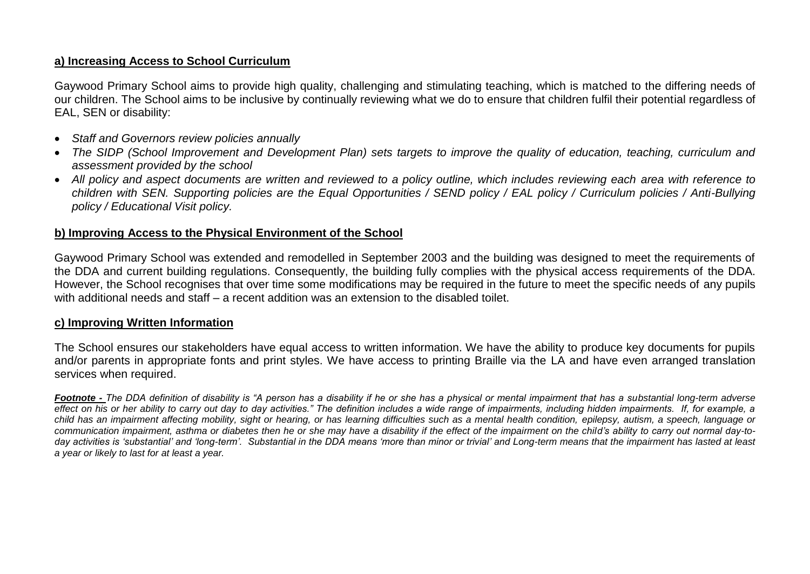### **a) Increasing Access to School Curriculum**

Gaywood Primary School aims to provide high quality, challenging and stimulating teaching, which is matched to the differing needs of our children. The School aims to be inclusive by continually reviewing what we do to ensure that children fulfil their potential regardless of EAL, SEN or disability:

- *Staff and Governors review policies annually*
- *The SIDP (School Improvement and Development Plan) sets targets to improve the quality of education, teaching, curriculum and assessment provided by the school*
- *All policy and aspect documents are written and reviewed to a policy outline, which includes reviewing each area with reference to children with SEN. Supporting policies are the Equal Opportunities / SEND policy / EAL policy / Curriculum policies / Anti-Bullying policy / Educational Visit policy.*

#### **b) Improving Access to the Physical Environment of the School**

Gaywood Primary School was extended and remodelled in September 2003 and the building was designed to meet the requirements of the DDA and current building regulations. Consequently, the building fully complies with the physical access requirements of the DDA. However, the School recognises that over time some modifications may be required in the future to meet the specific needs of any pupils with additional needs and staff – a recent addition was an extension to the disabled toilet.

#### **c) Improving Written Information**

The School ensures our stakeholders have equal access to written information. We have the ability to produce key documents for pupils and/or parents in appropriate fonts and print styles. We have access to printing Braille via the LA and have even arranged translation services when required.

*Footnote - The DDA definition of disability is "A person has a disability if he or she has a physical or mental impairment that has a substantial long-term adverse effect on his or her ability to carry out day to day activities." The definition includes a wide range of impairments, including hidden impairments. If, for example, a child has an impairment affecting mobility, sight or hearing, or has learning difficulties such as a mental health condition, epilepsy, autism, a speech, language or communication impairment, asthma or diabetes then he or she may have a disability if the effect of the impairment on the child's ability to carry out normal day-today activities is 'substantial' and 'long-term'. Substantial in the DDA means 'more than minor or trivial' and Long-term means that the impairment has lasted at least a year or likely to last for at least a year.*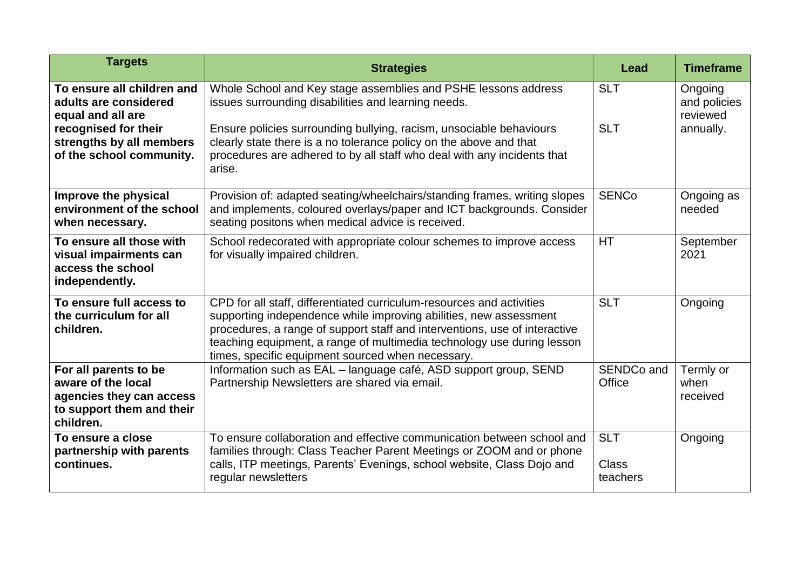| <b>Targets</b>                                                                                                                                           | <b>Strategies</b>                                                                                                                                                                                                                                                                                                                                       | Lead                                   | <b>Timeframe</b>                                 |
|----------------------------------------------------------------------------------------------------------------------------------------------------------|---------------------------------------------------------------------------------------------------------------------------------------------------------------------------------------------------------------------------------------------------------------------------------------------------------------------------------------------------------|----------------------------------------|--------------------------------------------------|
| To ensure all children and<br>adults are considered<br>equal and all are<br>recognised for their<br>strengths by all members<br>of the school community. | Whole School and Key stage assemblies and PSHE lessons address<br>issues surrounding disabilities and learning needs.<br>Ensure policies surrounding bullying, racism, unsociable behaviours<br>clearly state there is a no tolerance policy on the above and that<br>procedures are adhered to by all staff who deal with any incidents that<br>arise. | <b>SLT</b><br><b>SLT</b>               | Ongoing<br>and policies<br>reviewed<br>annually. |
| Improve the physical<br>environment of the school<br>when necessary.                                                                                     | Provision of: adapted seating/wheelchairs/standing frames, writing slopes<br>and implements, coloured overlays/paper and ICT backgrounds. Consider<br>seating positons when medical advice is received.                                                                                                                                                 | <b>SENCo</b>                           | Ongoing as<br>needed                             |
| To ensure all those with<br>visual impairments can<br>access the school<br>independently.                                                                | School redecorated with appropriate colour schemes to improve access<br>for visually impaired children.                                                                                                                                                                                                                                                 | <b>HT</b>                              | September<br>2021                                |
| To ensure full access to<br>the curriculum for all<br>children.                                                                                          | CPD for all staff, differentiated curriculum-resources and activities<br>supporting independence while improving abilities, new assessment<br>procedures, a range of support staff and interventions, use of interactive<br>teaching equipment, a range of multimedia technology use during lesson<br>times, specific equipment sourced when necessary. | <b>SLT</b>                             | Ongoing                                          |
| For all parents to be<br>aware of the local<br>agencies they can access<br>to support them and their<br>children.                                        | Information such as EAL - language café, ASD support group, SEND<br>Partnership Newsletters are shared via email.                                                                                                                                                                                                                                       | SENDCo and<br>Office                   | Termly or<br>when<br>received                    |
| To ensure a close<br>partnership with parents<br>continues.                                                                                              | To ensure collaboration and effective communication between school and<br>families through: Class Teacher Parent Meetings or ZOOM and or phone<br>calls, ITP meetings, Parents' Evenings, school website, Class Dojo and<br>regular newsletters                                                                                                         | <b>SLT</b><br><b>Class</b><br>teachers | Ongoing                                          |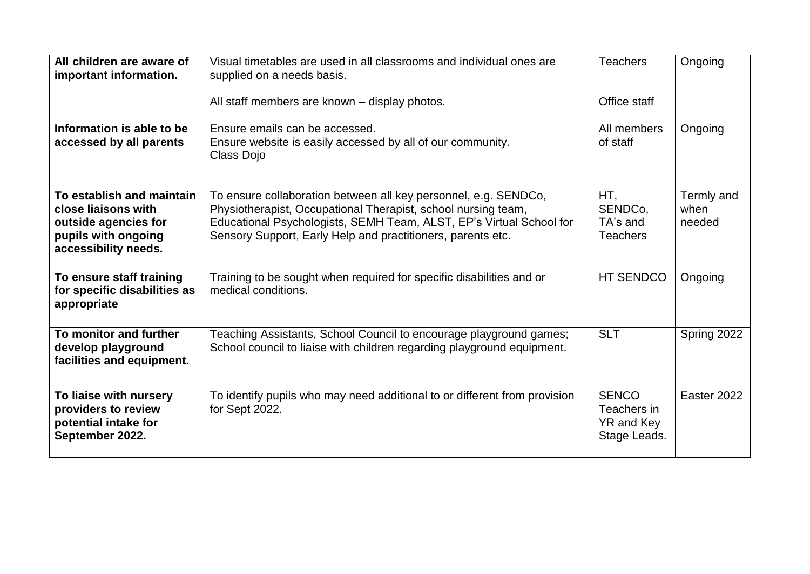| All children are aware of<br>important information.                                                                     | Visual timetables are used in all classrooms and individual ones are<br>supplied on a needs basis.                                                                                                                                                                     | <b>Teachers</b>                                           | Ongoing                      |
|-------------------------------------------------------------------------------------------------------------------------|------------------------------------------------------------------------------------------------------------------------------------------------------------------------------------------------------------------------------------------------------------------------|-----------------------------------------------------------|------------------------------|
|                                                                                                                         | All staff members are known - display photos.                                                                                                                                                                                                                          | Office staff                                              |                              |
| Information is able to be<br>accessed by all parents                                                                    | Ensure emails can be accessed.<br>Ensure website is easily accessed by all of our community.<br>Class Dojo                                                                                                                                                             | All members<br>of staff                                   | Ongoing                      |
| To establish and maintain<br>close liaisons with<br>outside agencies for<br>pupils with ongoing<br>accessibility needs. | To ensure collaboration between all key personnel, e.g. SENDCo,<br>Physiotherapist, Occupational Therapist, school nursing team,<br>Educational Psychologists, SEMH Team, ALST, EP's Virtual School for<br>Sensory Support, Early Help and practitioners, parents etc. | HT,<br>SENDCo,<br>TA's and<br><b>Teachers</b>             | Termly and<br>when<br>needed |
| To ensure staff training<br>for specific disabilities as<br>appropriate                                                 | Training to be sought when required for specific disabilities and or<br>medical conditions.                                                                                                                                                                            | <b>HT SENDCO</b>                                          | Ongoing                      |
| To monitor and further<br>develop playground<br>facilities and equipment.                                               | Teaching Assistants, School Council to encourage playground games;<br>School council to liaise with children regarding playground equipment.                                                                                                                           | <b>SLT</b>                                                | Spring 2022                  |
| To liaise with nursery<br>providers to review<br>potential intake for<br>September 2022.                                | To identify pupils who may need additional to or different from provision<br>for Sept 2022.                                                                                                                                                                            | <b>SENCO</b><br>Teachers in<br>YR and Key<br>Stage Leads. | Easter 2022                  |